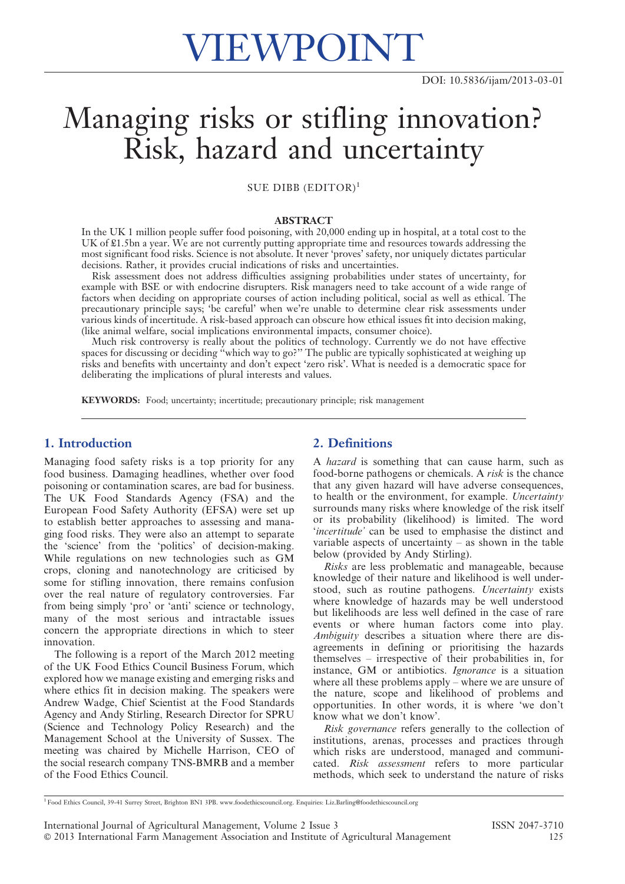# VIEWPOINT

## Managing risks or stifling innovation? Risk, hazard and uncertainty

SUE DIBB  $(EDITOR)^1$ 

#### ABSTRACT

In the UK 1 million people suffer food poisoning, with 20,000 ending up in hospital, at a total cost to the UK of £1.5bn a year. We are not currently putting appropriate time and resources towards addressing the most significant food risks. Science is not absolute. It never 'proves' safety, nor uniquely dictates particular decisions. Rather, it provides crucial indications of risks and uncertainties.

Risk assessment does not address difficulties assigning probabilities under states of uncertainty, for example with BSE or with endocrine disrupters. Risk managers need to take account of a wide range of factors when deciding on appropriate courses of action including political, social as well as ethical. The precautionary principle says; 'be careful' when we're unable to determine clear risk assessments under various kinds of incertitude. A risk-based approach can obscure how ethical issues fit into decision making, (like animal welfare, social implications environmental impacts, consumer choice).

Much risk controversy is really about the politics of technology. Currently we do not have effective spaces for discussing or deciding ''which way to go?'' The public are typically sophisticated at weighing up risks and benefits with uncertainty and don't expect 'zero risk'. What is needed is a democratic space for deliberating the implications of plural interests and values.

KEYWORDS: Food; uncertainty; incertitude; precautionary principle; risk management

### 1. Introduction

Managing food safety risks is a top priority for any food business. Damaging headlines, whether over food poisoning or contamination scares, are bad for business. The UK Food Standards Agency (FSA) and the European Food Safety Authority (EFSA) were set up to establish better approaches to assessing and managing food risks. They were also an attempt to separate the 'science' from the 'politics' of decision-making. While regulations on new technologies such as GM crops, cloning and nanotechnology are criticised by some for stifling innovation, there remains confusion over the real nature of regulatory controversies. Far from being simply 'pro' or 'anti' science or technology, many of the most serious and intractable issues concern the appropriate directions in which to steer innovation.

The following is a report of the March 2012 meeting of the UK Food Ethics Council Business Forum, which explored how we manage existing and emerging risks and where ethics fit in decision making. The speakers were Andrew Wadge, Chief Scientist at the Food Standards Agency and Andy Stirling, Research Director for SPRU (Science and Technology Policy Research) and the Management School at the University of Sussex. The meeting was chaired by Michelle Harrison, CEO of the social research company TNS-BMRB and a member of the Food Ethics Council.

#### 2. Definitions

A hazard is something that can cause harm, such as food-borne pathogens or chemicals. A risk is the chance that any given hazard will have adverse consequences, to health or the environment, for example. Uncertainty surrounds many risks where knowledge of the risk itself or its probability (likelihood) is limited. The word 'incertitude' can be used to emphasise the distinct and variable aspects of uncertainty – as shown in the table below (provided by Andy Stirling).

Risks are less problematic and manageable, because knowledge of their nature and likelihood is well understood, such as routine pathogens. Uncertainty exists where knowledge of hazards may be well understood but likelihoods are less well defined in the case of rare events or where human factors come into play. Ambiguity describes a situation where there are disagreements in defining or prioritising the hazards themselves – irrespective of their probabilities in, for instance, GM or antibiotics. Ignorance is a situation where all these problems apply – where we are unsure of the nature, scope and likelihood of problems and opportunities. In other words, it is where 'we don't know what we don't know'.

Risk governance refers generally to the collection of institutions, arenas, processes and practices through which risks are understood, managed and communicated. Risk assessment refers to more particular methods, which seek to understand the nature of risks

<sup>1</sup> Food Ethics Council, 39-41 Surrey Street, Brighton BN1 3PB. www.foodethicscouncil.org. Enquiries: Liz.Barling@foodethicscouncil.org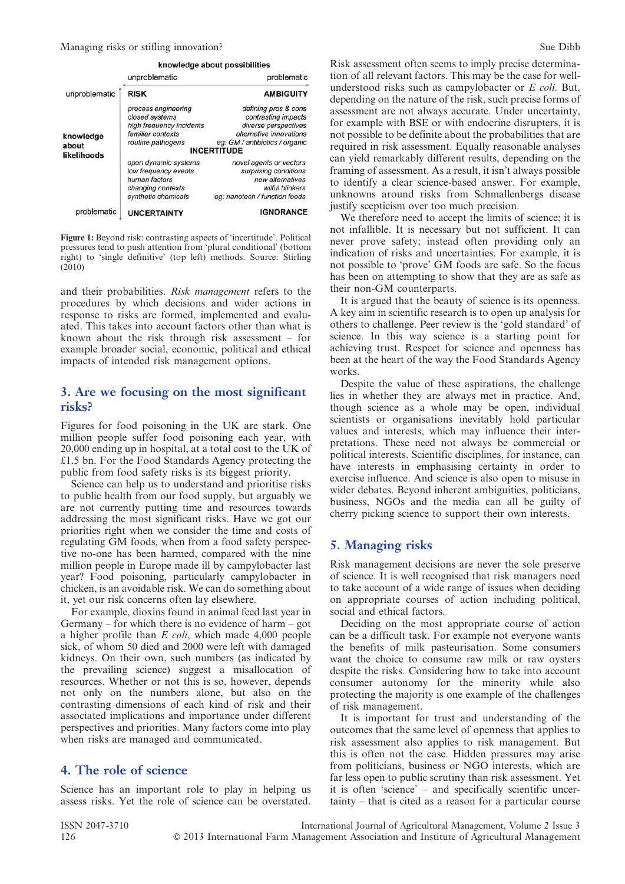#### Managing risks or stifling innovation? Sue Dibb

|                                   | <b>KIIOWICAGO GDOUL POSSIDIIILICS</b>                                                                     |                                                                                                                          |
|-----------------------------------|-----------------------------------------------------------------------------------------------------------|--------------------------------------------------------------------------------------------------------------------------|
|                                   | unproblematic                                                                                             | problematic                                                                                                              |
| unproblematic                     | <b>RISK</b>                                                                                               | <b>AMBIGUITY</b>                                                                                                         |
|                                   | process engineering<br>closed systems<br>high frequency incidents                                         | defining pros & cons<br>contrasting impacts<br>diverse perspectives                                                      |
| knowledge<br>about<br>likelihoods | familiar contexts<br>routine pathogens                                                                    | alternative innovations<br>eg: GM / antibiotics / organic<br><b>INCERTITUDE</b>                                          |
|                                   | open dynamic systems<br>low frequency events<br>human factors<br>changing contexts<br>synthetic chemicals | novel agents or vectors<br>surprising conditions<br>new alternatives<br>wilful blinkers<br>eg: nanotech / function foods |
| problematic                       | <b>UNCERTAINTY</b>                                                                                        | <b>IGNORANCE</b>                                                                                                         |

knowledge about possibilities

Figure 1: Beyond risk: contrasting aspects of 'incertitude'. Political pressures tend to push attention from 'plural conditional' (bottom right) to 'single definitive' (top left) methods. Source: Stirling (2010)

and their probabilities. Risk management refers to the procedures by which decisions and wider actions in response to risks are formed, implemented and evaluated. This takes into account factors other than what is known about the risk through risk assessment – for example broader social, economic, political and ethical impacts of intended risk management options.

#### 3. Are we focusing on the most significant risks?

Figures for food poisoning in the UK are stark. One million people suffer food poisoning each year, with 20,000 ending up in hospital, at a total cost to the UK of £1.5 bn. For the Food Standards Agency protecting the public from food safety risks is its biggest priority.

Science can help us to understand and prioritise risks to public health from our food supply, but arguably we are not currently putting time and resources towards addressing the most significant risks. Have we got our priorities right when we consider the time and costs of regulating GM foods, when from a food safety perspective no-one has been harmed, compared with the nine million people in Europe made ill by campylobacter last year? Food poisoning, particularly campylobacter in chicken, is an avoidable risk. We can do something about it, yet our risk concerns often lay elsewhere.

For example, dioxins found in animal feed last year in Germany – for which there is no evidence of harm – got a higher profile than  $E$  coli, which made 4,000 people sick, of whom 50 died and 2000 were left with damaged kidneys. On their own, such numbers (as indicated by the prevailing science) suggest a misallocation of resources. Whether or not this is so, however, depends not only on the numbers alone, but also on the contrasting dimensions of each kind of risk and their associated implications and importance under different perspectives and priorities. Many factors come into play when risks are managed and communicated.

#### 4. The role of science

Science has an important role to play in helping us assess risks. Yet the role of science can be overstated.

Risk assessment often seems to imply precise determination of all relevant factors. This may be the case for wellunderstood risks such as campylobacter or E coli. But, depending on the nature of the risk, such precise forms of assessment are not always accurate. Under uncertainty, for example with BSE or with endocrine disrupters, it is not possible to be definite about the probabilities that are required in risk assessment. Equally reasonable analyses can yield remarkably different results, depending on the framing of assessment. As a result, it isn't always possible to identify a clear science-based answer. For example, unknowns around risks from Schmallenbergs disease justify scepticism over too much precision.

We therefore need to accept the limits of science; it is not infallible. It is necessary but not sufficient. It can never prove safety; instead often providing only an indication of risks and uncertainties. For example, it is not possible to 'prove' GM foods are safe. So the focus has been on attempting to show that they are as safe as their non-GM counterparts.

It is argued that the beauty of science is its openness. A key aim in scientific research is to open up analysis for others to challenge. Peer review is the 'gold standard' of science. In this way science is a starting point for achieving trust. Respect for science and openness has been at the heart of the way the Food Standards Agency works.

Despite the value of these aspirations, the challenge lies in whether they are always met in practice. And, though science as a whole may be open, individual scientists or organisations inevitably hold particular values and interests, which may influence their interpretations. These need not always be commercial or political interests. Scientific disciplines, for instance, can have interests in emphasising certainty in order to exercise influence. And science is also open to misuse in wider debates. Beyond inherent ambiguities, politicians, business, NGOs and the media can all be guilty of cherry picking science to support their own interests.

#### 5. Managing risks

Risk management decisions are never the sole preserve of science. It is well recognised that risk managers need to take account of a wide range of issues when deciding on appropriate courses of action including political, social and ethical factors.

Deciding on the most appropriate course of action can be a difficult task. For example not everyone wants the benefits of milk pasteurisation. Some consumers want the choice to consume raw milk or raw oysters despite the risks. Considering how to take into account consumer autonomy for the minority while also protecting the majority is one example of the challenges of risk management.

It is important for trust and understanding of the outcomes that the same level of openness that applies to risk assessment also applies to risk management. But this is often not the case. Hidden pressures may arise from politicians, business or NGO interests, which are far less open to public scrutiny than risk assessment. Yet it is often 'science' – and specifically scientific uncertainty – that is cited as a reason for a particular course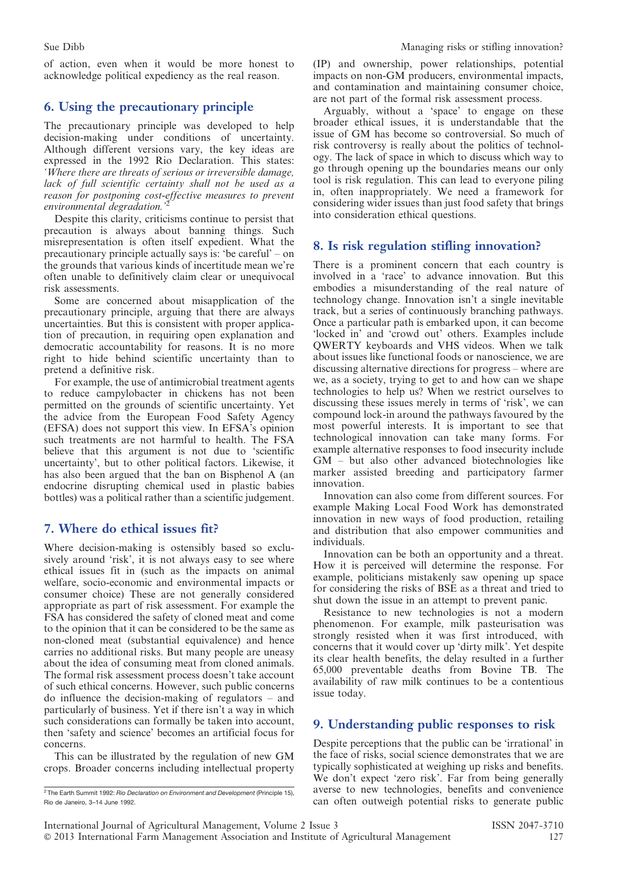of action, even when it would be more honest to acknowledge political expediency as the real reason.

#### 6. Using the precautionary principle

The precautionary principle was developed to help decision-making under conditions of uncertainty. Although different versions vary, the key ideas are expressed in the 1992 Rio Declaration. This states: 'Where there are threats of serious or irreversible damage, lack of full scientific certainty shall not be used as a reason for postponing cost-effective measures to prevent environmental degradation.

Despite this clarity, criticisms continue to persist that precaution is always about banning things. Such misrepresentation is often itself expedient. What the precautionary principle actually says is: 'be careful' – on the grounds that various kinds of incertitude mean we're often unable to definitively claim clear or unequivocal risk assessments.

Some are concerned about misapplication of the precautionary principle, arguing that there are always uncertainties. But this is consistent with proper application of precaution, in requiring open explanation and democratic accountability for reasons. It is no more right to hide behind scientific uncertainty than to pretend a definitive risk.

For example, the use of antimicrobial treatment agents to reduce campylobacter in chickens has not been permitted on the grounds of scientific uncertainty. Yet the advice from the European Food Safety Agency (EFSA) does not support this view. In EFSA's opinion such treatments are not harmful to health. The FSA believe that this argument is not due to 'scientific uncertainty', but to other political factors. Likewise, it has also been argued that the ban on Bisphenol A (an endocrine disrupting chemical used in plastic babies bottles) was a political rather than a scientific judgement.

#### 7. Where do ethical issues fit?

Where decision-making is ostensibly based so exclusively around 'risk', it is not always easy to see where ethical issues fit in (such as the impacts on animal welfare, socio-economic and environmental impacts or consumer choice) These are not generally considered appropriate as part of risk assessment. For example the FSA has considered the safety of cloned meat and come to the opinion that it can be considered to be the same as non-cloned meat (substantial equivalence) and hence carries no additional risks. But many people are uneasy about the idea of consuming meat from cloned animals. The formal risk assessment process doesn't take account of such ethical concerns. However, such public concerns do influence the decision-making of regulators – and particularly of business. Yet if there isn't a way in which such considerations can formally be taken into account, then 'safety and science' becomes an artificial focus for concerns.

This can be illustrated by the regulation of new GM crops. Broader concerns including intellectual property (IP) and ownership, power relationships, potential impacts on non-GM producers, environmental impacts, and contamination and maintaining consumer choice, are not part of the formal risk assessment process.

Arguably, without a 'space' to engage on these broader ethical issues, it is understandable that the issue of GM has become so controversial. So much of risk controversy is really about the politics of technology. The lack of space in which to discuss which way to go through opening up the boundaries means our only tool is risk regulation. This can lead to everyone piling in, often inappropriately. We need a framework for considering wider issues than just food safety that brings into consideration ethical questions.

#### 8. Is risk regulation stifling innovation?

There is a prominent concern that each country is involved in a 'race' to advance innovation. But this embodies a misunderstanding of the real nature of technology change. Innovation isn't a single inevitable track, but a series of continuously branching pathways. Once a particular path is embarked upon, it can become 'locked in' and 'crowd out' others. Examples include QWERTY keyboards and VHS videos. When we talk about issues like functional foods or nanoscience, we are discussing alternative directions for progress – where are we, as a society, trying to get to and how can we shape technologies to help us? When we restrict ourselves to discussing these issues merely in terms of 'risk', we can compound lock-in around the pathways favoured by the most powerful interests. It is important to see that technological innovation can take many forms. For example alternative responses to food insecurity include GM – but also other advanced biotechnologies like marker assisted breeding and participatory farmer innovation.

Innovation can also come from different sources. For example Making Local Food Work has demonstrated innovation in new ways of food production, retailing and distribution that also empower communities and individuals.

Innovation can be both an opportunity and a threat. How it is perceived will determine the response. For example, politicians mistakenly saw opening up space for considering the risks of BSE as a threat and tried to shut down the issue in an attempt to prevent panic.

Resistance to new technologies is not a modern phenomenon. For example, milk pasteurisation was strongly resisted when it was first introduced, with concerns that it would cover up 'dirty milk'. Yet despite its clear health benefits, the delay resulted in a further 65,000 preventable deaths from Bovine TB. The availability of raw milk continues to be a contentious issue today.

#### 9. Understanding public responses to risk

Despite perceptions that the public can be 'irrational' in the face of risks, social science demonstrates that we are typically sophisticated at weighing up risks and benefits. We don't expect 'zero risk'. Far from being generally averse to new technologies, benefits and convenience can often outweigh potential risks to generate public

<sup>&</sup>lt;sup>2</sup> The Earth Summit 1992: Rio Declaration on Environment and Development (Principle 15), Rio de Janeiro, 3–14 June 1992.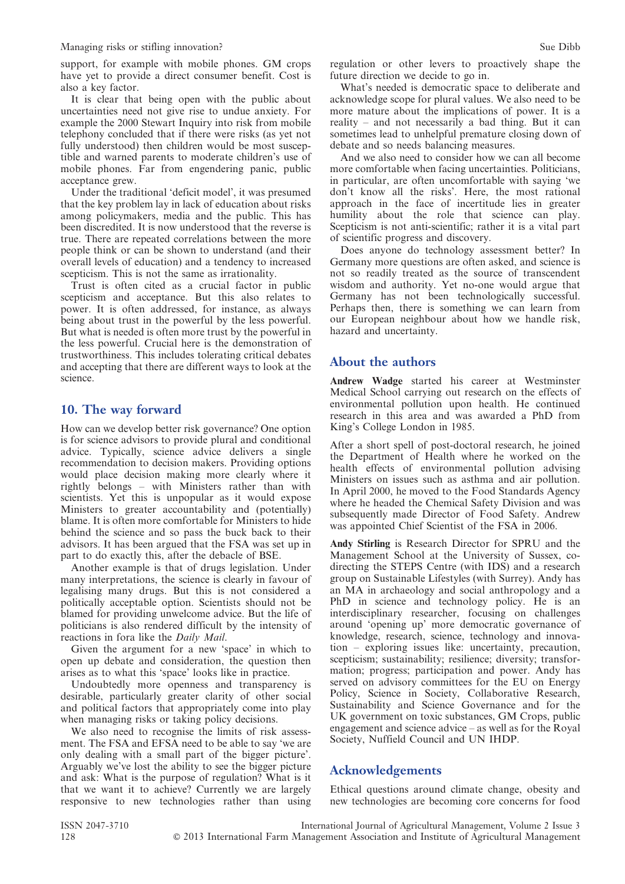support, for example with mobile phones. GM crops have yet to provide a direct consumer benefit. Cost is also a key factor.

It is clear that being open with the public about uncertainties need not give rise to undue anxiety. For example the 2000 Stewart Inquiry into risk from mobile telephony concluded that if there were risks (as yet not fully understood) then children would be most susceptible and warned parents to moderate children's use of mobile phones. Far from engendering panic, public acceptance grew.

Under the traditional 'deficit model', it was presumed that the key problem lay in lack of education about risks among policymakers, media and the public. This has been discredited. It is now understood that the reverse is true. There are repeated correlations between the more people think or can be shown to understand (and their overall levels of education) and a tendency to increased scepticism. This is not the same as irrationality.

Trust is often cited as a crucial factor in public scepticism and acceptance. But this also relates to power. It is often addressed, for instance, as always being about trust in the powerful by the less powerful. But what is needed is often more trust by the powerful in the less powerful. Crucial here is the demonstration of trustworthiness. This includes tolerating critical debates and accepting that there are different ways to look at the science.

#### 10. The way forward

How can we develop better risk governance? One option is for science advisors to provide plural and conditional advice. Typically, science advice delivers a single recommendation to decision makers. Providing options would place decision making more clearly where it rightly belongs – with Ministers rather than with scientists. Yet this is unpopular as it would expose Ministers to greater accountability and (potentially) blame. It is often more comfortable for Ministers to hide behind the science and so pass the buck back to their advisors. It has been argued that the FSA was set up in part to do exactly this, after the debacle of BSE.

Another example is that of drugs legislation. Under many interpretations, the science is clearly in favour of legalising many drugs. But this is not considered a politically acceptable option. Scientists should not be blamed for providing unwelcome advice. But the life of politicians is also rendered difficult by the intensity of reactions in fora like the Daily Mail.

Given the argument for a new 'space' in which to open up debate and consideration, the question then arises as to what this 'space' looks like in practice.

Undoubtedly more openness and transparency is desirable, particularly greater clarity of other social and political factors that appropriately come into play when managing risks or taking policy decisions.

We also need to recognise the limits of risk assessment. The FSA and EFSA need to be able to say 'we are only dealing with a small part of the bigger picture'. Arguably we've lost the ability to see the bigger picture and ask: What is the purpose of regulation? What is it that we want it to achieve? Currently we are largely responsive to new technologies rather than using regulation or other levers to proactively shape the future direction we decide to go in.

What's needed is democratic space to deliberate and acknowledge scope for plural values. We also need to be more mature about the implications of power. It is a reality – and not necessarily a bad thing. But it can sometimes lead to unhelpful premature closing down of debate and so needs balancing measures.

And we also need to consider how we can all become more comfortable when facing uncertainties. Politicians, in particular, are often uncomfortable with saying 'we don't know all the risks'. Here, the most rational approach in the face of incertitude lies in greater humility about the role that science can play. Scepticism is not anti-scientific; rather it is a vital part of scientific progress and discovery.

Does anyone do technology assessment better? In Germany more questions are often asked, and science is not so readily treated as the source of transcendent wisdom and authority. Yet no-one would argue that Germany has not been technologically successful. Perhaps then, there is something we can learn from our European neighbour about how we handle risk, hazard and uncertainty.

#### About the authors

Andrew Wadge started his career at Westminster Medical School carrying out research on the effects of environmental pollution upon health. He continued research in this area and was awarded a PhD from King's College London in 1985.

After a short spell of post-doctoral research, he joined the Department of Health where he worked on the health effects of environmental pollution advising Ministers on issues such as asthma and air pollution. In April 2000, he moved to the Food Standards Agency where he headed the Chemical Safety Division and was subsequently made Director of Food Safety. Andrew was appointed Chief Scientist of the FSA in 2006.

Andy Stirling is Research Director for SPRU and the Management School at the University of Sussex, codirecting the STEPS Centre (with IDS) and a research group on Sustainable Lifestyles (with Surrey). Andy has an MA in archaeology and social anthropology and a PhD in science and technology policy. He is an interdisciplinary researcher, focusing on challenges around 'opening up' more democratic governance of knowledge, research, science, technology and innovation – exploring issues like: uncertainty, precaution, scepticism; sustainability; resilience; diversity; transformation; progress; participation and power. Andy has served on advisory committees for the EU on Energy Policy, Science in Society, Collaborative Research, Sustainability and Science Governance and for the UK government on toxic substances, GM Crops, public engagement and science advice – as well as for the Royal Society, Nuffield Council and UN IHDP.

#### Acknowledgements

Ethical questions around climate change, obesity and new technologies are becoming core concerns for food